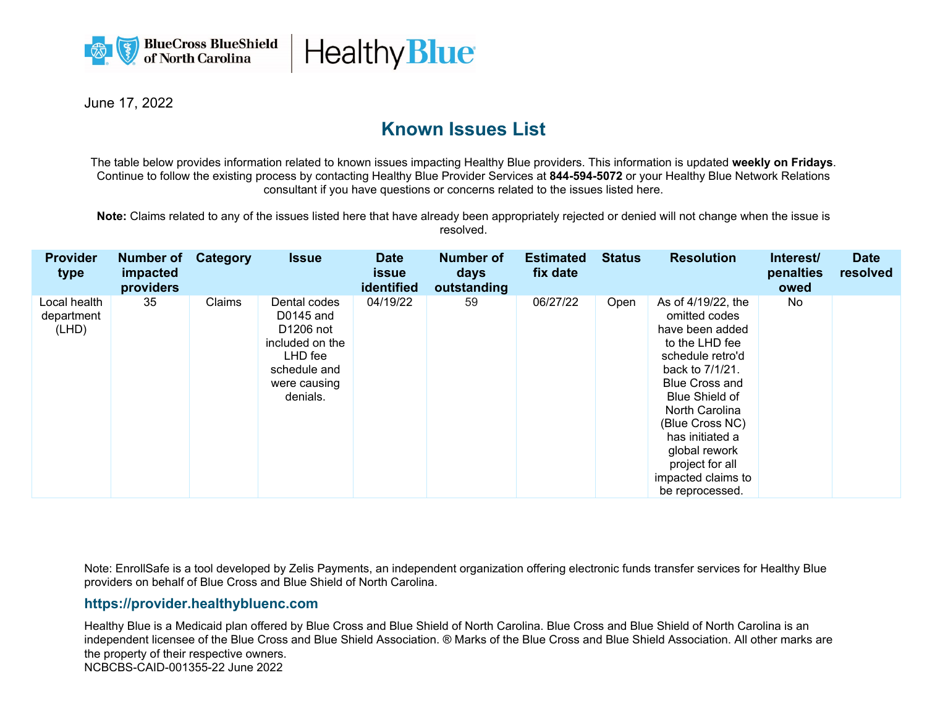



June 17, 2022

# **Known Issues List**

The table below provides information related to known issues impacting Healthy Blue providers. This information is updated **weekly on Fridays**. Continue to follow the existing process by contacting Healthy Blue Provider Services at **844-594-5072** or your Healthy Blue Network Relations consultant if you have questions or concerns related to the issues listed here.

**Note:** Claims related to any of the issues listed here that have already been appropriately rejected or denied will not change when the issue is resolved.

| <b>Provider</b><br>type             | Number of<br>impacted<br>providers | Category | <b>Issue</b>                                                                                                     | <b>Date</b><br><i>issue</i><br>identified | <b>Number of</b><br>days<br>outstanding | <b>Estimated</b><br>fix date | <b>Status</b> | <b>Resolution</b>                                                                                                                                                                                                                                                                                      | Interest/<br>penalties<br>owed | <b>Date</b><br>resolved |
|-------------------------------------|------------------------------------|----------|------------------------------------------------------------------------------------------------------------------|-------------------------------------------|-----------------------------------------|------------------------------|---------------|--------------------------------------------------------------------------------------------------------------------------------------------------------------------------------------------------------------------------------------------------------------------------------------------------------|--------------------------------|-------------------------|
| Local health<br>department<br>(LHD) | 35                                 | Claims   | Dental codes<br>D0145 and<br>D1206 not<br>included on the<br>LHD fee<br>schedule and<br>were causing<br>denials. | 04/19/22                                  | 59                                      | 06/27/22                     | Open          | As of 4/19/22, the<br>omitted codes<br>have been added<br>to the LHD fee<br>schedule retro'd<br>back to 7/1/21.<br><b>Blue Cross and</b><br><b>Blue Shield of</b><br>North Carolina<br>(Blue Cross NC)<br>has initiated a<br>global rework<br>project for all<br>impacted claims to<br>be reprocessed. | No                             |                         |

Note: EnrollSafe is a tool developed by Zelis Payments, an independent organization offering electronic funds transfer services for Healthy Blue providers on behalf of Blue Cross and Blue Shield of North Carolina.

#### **https://provider.healthybluenc.com**

Healthy Blue is a Medicaid plan offered by Blue Cross and Blue Shield of North Carolina. Blue Cross and Blue Shield of North Carolina is an independent licensee of the Blue Cross and Blue Shield Association. ® Marks of the Blue Cross and Blue Shield Association. All other marks are the property of their respective owners. NCBCBS-CAID-001355-22 June 2022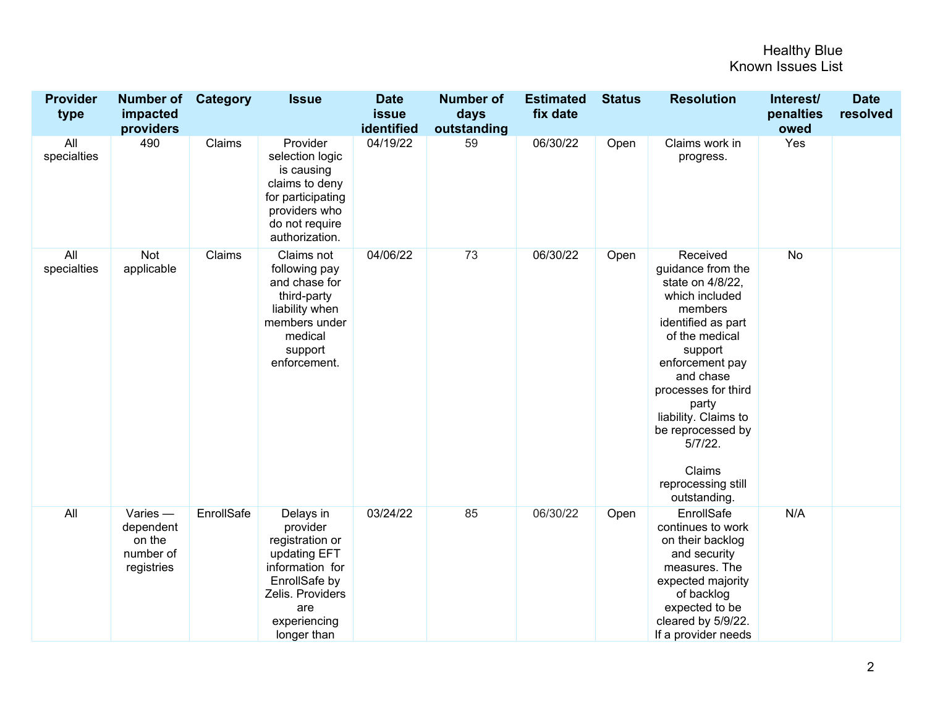| <b>Provider</b><br>type | Number of<br>impacted<br>providers                           | Category   | <b>Issue</b>                                                                                                                                           | <b>Date</b><br>issue<br>identified | <b>Number of</b><br>days<br>outstanding | <b>Estimated</b><br>fix date | <b>Status</b> | <b>Resolution</b>                                                                                                                                                                                                                                                                                            | Interest/<br>penalties<br>owed | <b>Date</b><br>resolved |
|-------------------------|--------------------------------------------------------------|------------|--------------------------------------------------------------------------------------------------------------------------------------------------------|------------------------------------|-----------------------------------------|------------------------------|---------------|--------------------------------------------------------------------------------------------------------------------------------------------------------------------------------------------------------------------------------------------------------------------------------------------------------------|--------------------------------|-------------------------|
| All<br>specialties      | 490                                                          | Claims     | Provider<br>selection logic<br>is causing<br>claims to deny<br>for participating<br>providers who<br>do not require<br>authorization.                  | 04/19/22                           | 59                                      | 06/30/22                     | Open          | Claims work in<br>progress.                                                                                                                                                                                                                                                                                  | Yes                            |                         |
| All<br>specialties      | Not<br>applicable                                            | Claims     | Claims not<br>following pay<br>and chase for<br>third-party<br>liability when<br>members under<br>medical<br>support<br>enforcement.                   | 04/06/22                           | 73                                      | 06/30/22                     | Open          | Received<br>guidance from the<br>state on 4/8/22,<br>which included<br>members<br>identified as part<br>of the medical<br>support<br>enforcement pay<br>and chase<br>processes for third<br>party<br>liability. Claims to<br>be reprocessed by<br>$5/7/22$ .<br>Claims<br>reprocessing still<br>outstanding. | No                             |                         |
| All                     | $Varies -$<br>dependent<br>on the<br>number of<br>registries | EnrollSafe | Delays in<br>provider<br>registration or<br>updating EFT<br>information for<br>EnrollSafe by<br>Zelis. Providers<br>are<br>experiencing<br>longer than | 03/24/22                           | 85                                      | 06/30/22                     | Open          | EnrollSafe<br>continues to work<br>on their backlog<br>and security<br>measures. The<br>expected majority<br>of backlog<br>expected to be<br>cleared by 5/9/22.<br>If a provider needs                                                                                                                       | N/A                            |                         |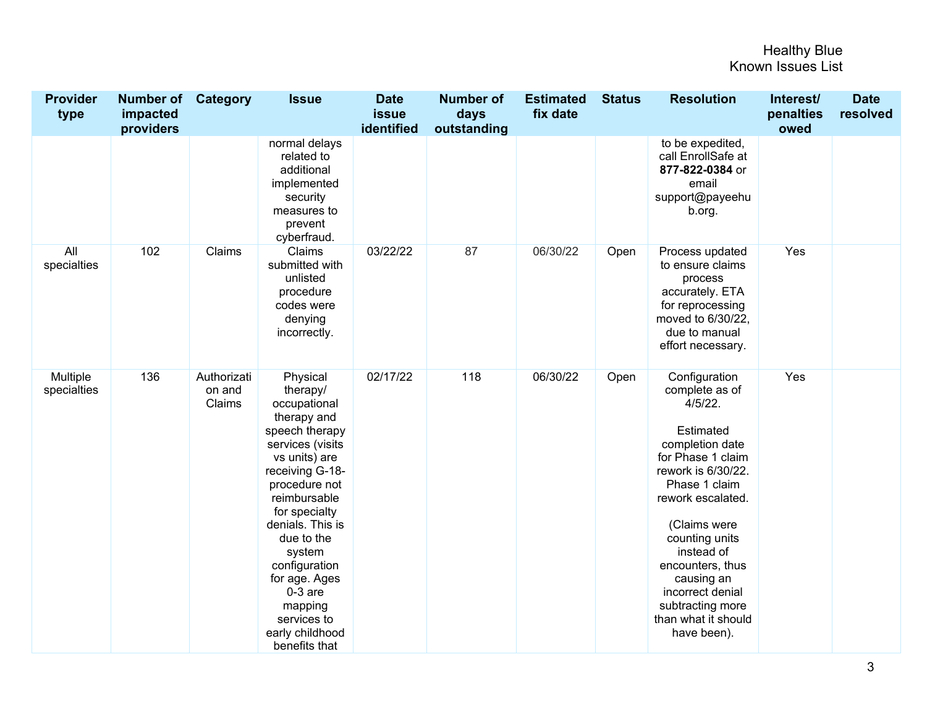| <b>Provider</b><br>type | <b>Number of Category</b><br>impacted<br>providers |                                 | <b>Issue</b>                                                                                                                                                                                                                                                                                                                             | <b>Date</b><br>issue<br>identified | <b>Number of</b><br>days<br>outstanding | <b>Estimated</b><br>fix date | <b>Status</b> | <b>Resolution</b>                                                                                                                                                                                                                                                                                                              | Interest/<br>penalties<br>owed | <b>Date</b><br>resolved |
|-------------------------|----------------------------------------------------|---------------------------------|------------------------------------------------------------------------------------------------------------------------------------------------------------------------------------------------------------------------------------------------------------------------------------------------------------------------------------------|------------------------------------|-----------------------------------------|------------------------------|---------------|--------------------------------------------------------------------------------------------------------------------------------------------------------------------------------------------------------------------------------------------------------------------------------------------------------------------------------|--------------------------------|-------------------------|
|                         |                                                    |                                 | normal delays<br>related to<br>additional<br>implemented<br>security<br>measures to<br>prevent<br>cyberfraud.                                                                                                                                                                                                                            |                                    |                                         |                              |               | to be expedited,<br>call EnrollSafe at<br>877-822-0384 or<br>email<br>support@payeehu<br>b.org.                                                                                                                                                                                                                                |                                |                         |
| All<br>specialties      | 102                                                | Claims                          | Claims<br>submitted with<br>unlisted<br>procedure<br>codes were<br>denying<br>incorrectly.                                                                                                                                                                                                                                               | 03/22/22                           | 87                                      | 06/30/22                     | Open          | Process updated<br>to ensure claims<br>process<br>accurately. ETA<br>for reprocessing<br>moved to 6/30/22,<br>due to manual<br>effort necessary.                                                                                                                                                                               | Yes                            |                         |
| Multiple<br>specialties | 136                                                | Authorizati<br>on and<br>Claims | Physical<br>therapy/<br>occupational<br>therapy and<br>speech therapy<br>services (visits<br>vs units) are<br>receiving G-18-<br>procedure not<br>reimbursable<br>for specialty<br>denials. This is<br>due to the<br>system<br>configuration<br>for age. Ages<br>$0-3$ are<br>mapping<br>services to<br>early childhood<br>benefits that | 02/17/22                           | 118                                     | 06/30/22                     | Open          | Configuration<br>complete as of<br>$4/5/22$ .<br>Estimated<br>completion date<br>for Phase 1 claim<br>rework is 6/30/22.<br>Phase 1 claim<br>rework escalated.<br>(Claims were<br>counting units<br>instead of<br>encounters, thus<br>causing an<br>incorrect denial<br>subtracting more<br>than what it should<br>have been). | Yes                            |                         |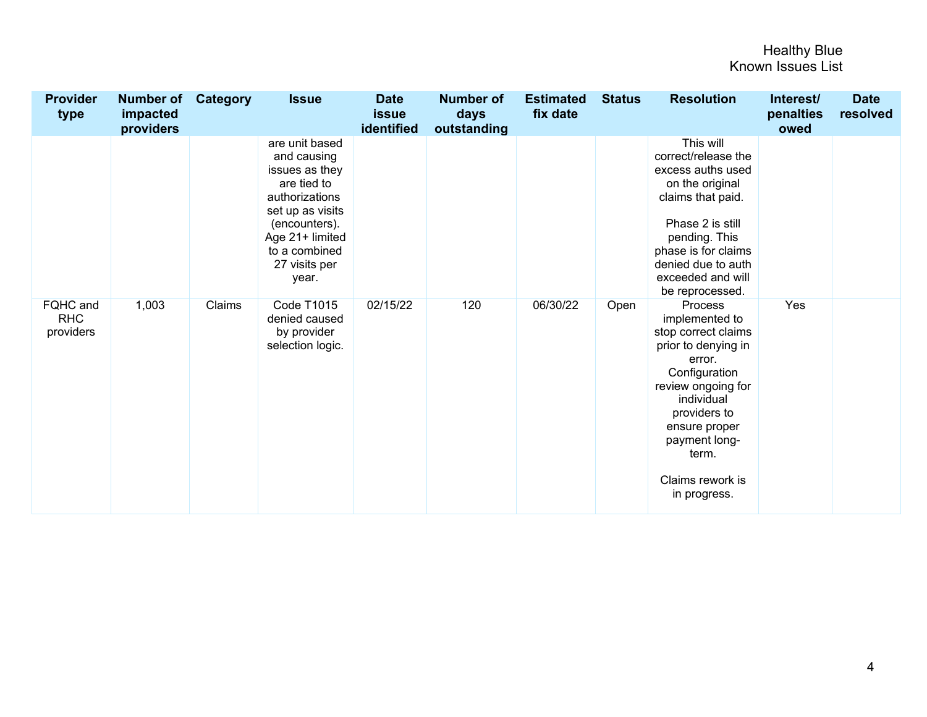| <b>Provider</b><br>type             | <b>Number of Category</b><br>impacted<br>providers |        | <b>Issue</b>                                                                                                                                                                        | <b>Date</b><br><b>issue</b><br>identified | <b>Number of</b><br>days<br>outstanding | <b>Estimated</b><br>fix date | <b>Status</b> | <b>Resolution</b>                                                                                                                                                                                                                     | Interest/<br>penalties<br>owed | <b>Date</b><br>resolved |
|-------------------------------------|----------------------------------------------------|--------|-------------------------------------------------------------------------------------------------------------------------------------------------------------------------------------|-------------------------------------------|-----------------------------------------|------------------------------|---------------|---------------------------------------------------------------------------------------------------------------------------------------------------------------------------------------------------------------------------------------|--------------------------------|-------------------------|
|                                     |                                                    |        | are unit based<br>and causing<br>issues as they<br>are tied to<br>authorizations<br>set up as visits<br>(encounters).<br>Age 21+ limited<br>to a combined<br>27 visits per<br>year. |                                           |                                         |                              |               | This will<br>correct/release the<br>excess auths used<br>on the original<br>claims that paid.<br>Phase 2 is still<br>pending. This<br>phase is for claims<br>denied due to auth<br>exceeded and will<br>be reprocessed.               |                                |                         |
| FQHC and<br><b>RHC</b><br>providers | 1,003                                              | Claims | <b>Code T1015</b><br>denied caused<br>by provider<br>selection logic.                                                                                                               | 02/15/22                                  | 120                                     | 06/30/22                     | Open          | Process<br>implemented to<br>stop correct claims<br>prior to denying in<br>error.<br>Configuration<br>review ongoing for<br>individual<br>providers to<br>ensure proper<br>payment long-<br>term.<br>Claims rework is<br>in progress. | Yes                            |                         |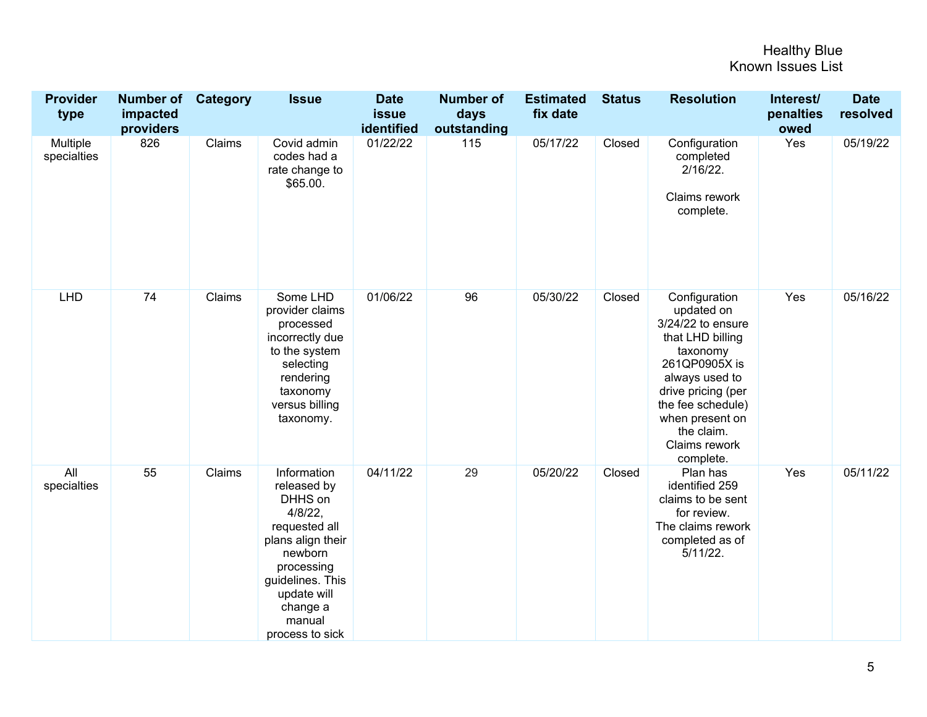| <b>Provider</b><br>type | <b>Number of</b><br>impacted<br>providers | <b>Category</b> | <b>Issue</b>                                                                                                                                                                                | <b>Date</b><br><b>issue</b><br>identified | <b>Number of</b><br>days<br>outstanding | <b>Estimated</b><br>fix date | <b>Status</b> | <b>Resolution</b>                                                                                                                                                                                                             | Interest/<br>penalties<br>owed | <b>Date</b><br>resolved |
|-------------------------|-------------------------------------------|-----------------|---------------------------------------------------------------------------------------------------------------------------------------------------------------------------------------------|-------------------------------------------|-----------------------------------------|------------------------------|---------------|-------------------------------------------------------------------------------------------------------------------------------------------------------------------------------------------------------------------------------|--------------------------------|-------------------------|
| Multiple<br>specialties | 826                                       | Claims          | Covid admin<br>codes had a<br>rate change to<br>\$65.00.                                                                                                                                    | 01/22/22                                  | 115                                     | 05/17/22                     | Closed        | Configuration<br>completed<br>$2/16/22$ .<br>Claims rework<br>complete.                                                                                                                                                       | Yes                            | 05/19/22                |
| <b>LHD</b>              | 74                                        | Claims          | Some LHD<br>provider claims<br>processed<br>incorrectly due<br>to the system<br>selecting<br>rendering<br>taxonomy<br>versus billing<br>taxonomy.                                           | 01/06/22                                  | 96                                      | 05/30/22                     | Closed        | Configuration<br>updated on<br>3/24/22 to ensure<br>that LHD billing<br>taxonomy<br>261QP0905X is<br>always used to<br>drive pricing (per<br>the fee schedule)<br>when present on<br>the claim.<br>Claims rework<br>complete. | Yes                            | 05/16/22                |
| All<br>specialties      | 55                                        | Claims          | Information<br>released by<br>DHHS on<br>4/8/22,<br>requested all<br>plans align their<br>newborn<br>processing<br>guidelines. This<br>update will<br>change a<br>manual<br>process to sick | 04/11/22                                  | 29                                      | 05/20/22                     | Closed        | Plan has<br>identified 259<br>claims to be sent<br>for review.<br>The claims rework<br>completed as of<br>$5/11/22$ .                                                                                                         | Yes                            | 05/11/22                |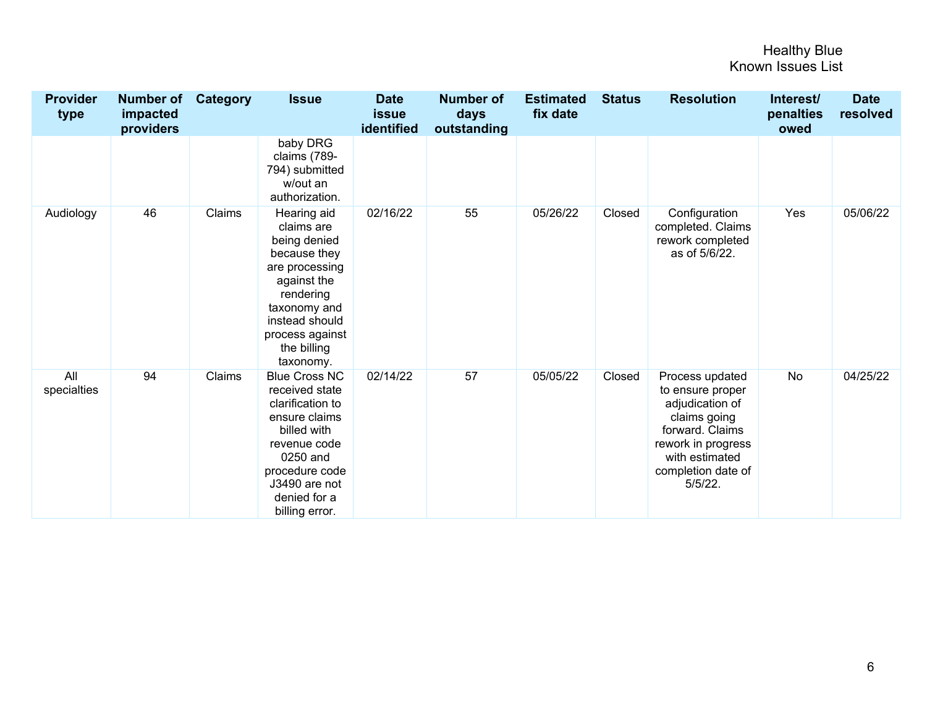| <b>Provider</b><br>type | <b>Number of</b><br>impacted<br>providers | Category | <b>Issue</b>                                                                                                                                                                                | <b>Date</b><br><b>issue</b><br>identified | <b>Number of</b><br>days<br>outstanding | <b>Estimated</b><br>fix date | <b>Status</b> | <b>Resolution</b>                                                                                                                                                     | Interest/<br>penalties<br>owed | <b>Date</b><br>resolved |
|-------------------------|-------------------------------------------|----------|---------------------------------------------------------------------------------------------------------------------------------------------------------------------------------------------|-------------------------------------------|-----------------------------------------|------------------------------|---------------|-----------------------------------------------------------------------------------------------------------------------------------------------------------------------|--------------------------------|-------------------------|
|                         |                                           |          | baby DRG<br>claims (789-<br>794) submitted<br>w/out an<br>authorization.                                                                                                                    |                                           |                                         |                              |               |                                                                                                                                                                       |                                |                         |
| Audiology               | 46                                        | Claims   | Hearing aid<br>claims are<br>being denied<br>because they<br>are processing<br>against the<br>rendering<br>taxonomy and<br>instead should<br>process against<br>the billing<br>taxonomy.    | 02/16/22                                  | 55                                      | 05/26/22                     | Closed        | Configuration<br>completed. Claims<br>rework completed<br>as of 5/6/22.                                                                                               | Yes                            | 05/06/22                |
| All<br>specialties      | 94                                        | Claims   | <b>Blue Cross NC</b><br>received state<br>clarification to<br>ensure claims<br>billed with<br>revenue code<br>0250 and<br>procedure code<br>J3490 are not<br>denied for a<br>billing error. | 02/14/22                                  | 57                                      | 05/05/22                     | Closed        | Process updated<br>to ensure proper<br>adjudication of<br>claims going<br>forward. Claims<br>rework in progress<br>with estimated<br>completion date of<br>$5/5/22$ . | <b>No</b>                      | 04/25/22                |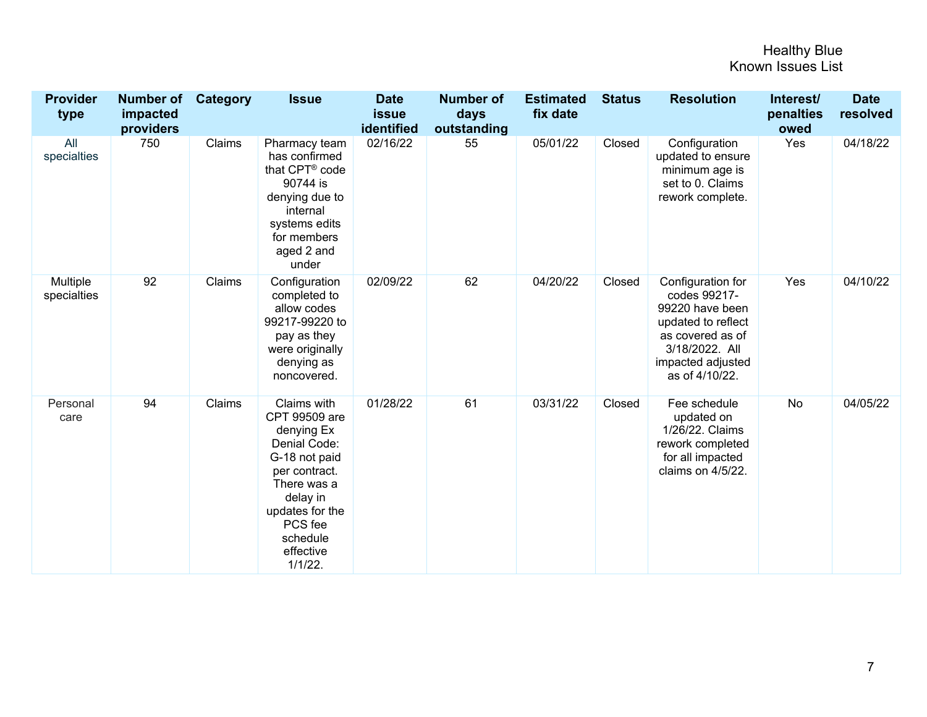| <b>Provider</b><br>type | <b>Number of</b><br>impacted<br>providers | Category | <b>Issue</b>                                                                                                                                                                                 | <b>Date</b><br><b>issue</b><br>identified | <b>Number of</b><br>days<br>outstanding | <b>Estimated</b><br>fix date | <b>Status</b> | <b>Resolution</b>                                                                                                                                       | Interest/<br>penalties<br>owed | <b>Date</b><br>resolved |
|-------------------------|-------------------------------------------|----------|----------------------------------------------------------------------------------------------------------------------------------------------------------------------------------------------|-------------------------------------------|-----------------------------------------|------------------------------|---------------|---------------------------------------------------------------------------------------------------------------------------------------------------------|--------------------------------|-------------------------|
| All<br>specialties      | 750                                       | Claims   | Pharmacy team<br>has confirmed<br>that CPT <sup>®</sup> code<br>90744 is<br>denying due to<br>internal<br>systems edits<br>for members<br>aged 2 and<br>under                                | 02/16/22                                  | 55                                      | 05/01/22                     | Closed        | Configuration<br>updated to ensure<br>minimum age is<br>set to 0. Claims<br>rework complete.                                                            | Yes                            | 04/18/22                |
| Multiple<br>specialties | 92                                        | Claims   | Configuration<br>completed to<br>allow codes<br>99217-99220 to<br>pay as they<br>were originally<br>denying as<br>noncovered.                                                                | 02/09/22                                  | 62                                      | 04/20/22                     | Closed        | Configuration for<br>codes 99217-<br>99220 have been<br>updated to reflect<br>as covered as of<br>3/18/2022. All<br>impacted adjusted<br>as of 4/10/22. | Yes                            | 04/10/22                |
| Personal<br>care        | 94                                        | Claims   | Claims with<br>CPT 99509 are<br>denying Ex<br>Denial Code:<br>G-18 not paid<br>per contract.<br>There was a<br>delay in<br>updates for the<br>PCS fee<br>schedule<br>effective<br>$1/1/22$ . | 01/28/22                                  | 61                                      | 03/31/22                     | Closed        | Fee schedule<br>updated on<br>1/26/22. Claims<br>rework completed<br>for all impacted<br>claims on 4/5/22.                                              | No                             | 04/05/22                |